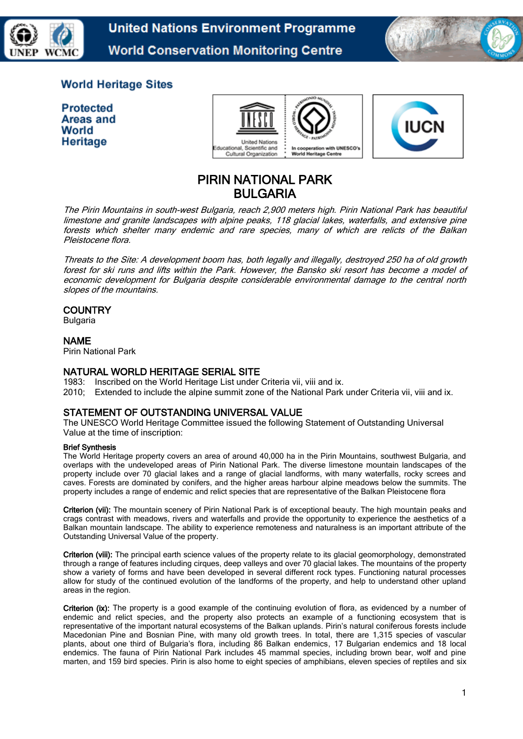

**United Nations Environment Programme World Conservation Monitoring Centre** 



# **World Heritage Sites**

| <b>Protected</b> |
|------------------|
| Areas and        |
| World            |
| Heritage         |





# PIRIN NATIONAL PARK BULGARIA

The Pirin Mountains in south-west Bulgaria, reach 2,900 meters high. Pirin National Park has beautiful limestone and granite landscapes with alpine peaks, 118 glacial lakes, waterfalls, and extensive pine forests which shelter many endemic and rare species, many of which are relicts of the Balkan Pleistocene flora.

Threats to the Site: A development boom has, both legally and illegally, destroyed 250 ha of old growth forest for ski runs and lifts within the Park. However, the Bansko ski resort has become a model of economic development for Bulgaria despite considerable environmental damage to the central north slopes of the mountains.

#### **COUNTRY**

Bulgaria

#### NAME

Pirin National Park

### NATURAL WORLD HERITAGE SERIAL SITE

1983: Inscribed on the World Heritage List under Criteria vii, viii and ix.

2010; Extended to include the alpine summit zone of the National Park under Criteria vii, viii and ix.

### STATEMENT OF OUTSTANDING UNIVERSAL VALUE

The UNESCO World Heritage Committee issued the following Statement of Outstanding Universal Value at the time of inscription:

#### Brief Synthesis

The World Heritage property covers an area of around 40,000 ha in the Pirin Mountains, southwest Bulgaria, and overlaps with the undeveloped areas of Pirin National Park. The diverse limestone mountain landscapes of the property include over 70 glacial lakes and a range of glacial landforms, with many waterfalls, rocky screes and caves. Forests are dominated by conifers, and the higher areas harbour alpine meadows below the summits. The property includes a range of endemic and relict species that are representative of the Balkan Pleistocene flora

Criterion (vii): The mountain scenery of Pirin National Park is of exceptional beauty. The high mountain peaks and crags contrast with meadows, rivers and waterfalls and provide the opportunity to experience the aesthetics of a Balkan mountain landscape. The ability to experience remoteness and naturalness is an important attribute of the Outstanding Universal Value of the property.

Criterion (viii): The principal earth science values of the property relate to its glacial geomorphology, demonstrated through a range of features including cirques, deep valleys and over 70 glacial lakes. The mountains of the property show a variety of forms and have been developed in several different rock types. Functioning natural processes allow for study of the continued evolution of the landforms of the property, and help to understand other upland areas in the region.

Criterion (ix): The property is a good example of the continuing evolution of flora, as evidenced by a number of endemic and relict species, and the property also protects an example of a functioning ecosystem that is representative of the important natural ecosystems of the Balkan uplands. Pirin's natural coniferous forests include Macedonian Pine and Bosnian Pine, with many old growth trees. In total, there are 1,315 species of vascular plants, about one third of Bulgaria's flora, including 86 Balkan endemics, 17 Bulgarian endemics and 18 local endemics. The fauna of Pirin National Park includes 45 mammal species, including brown bear, wolf and pine marten, and 159 bird species. Pirin is also home to eight species of amphibians, eleven species of reptiles and six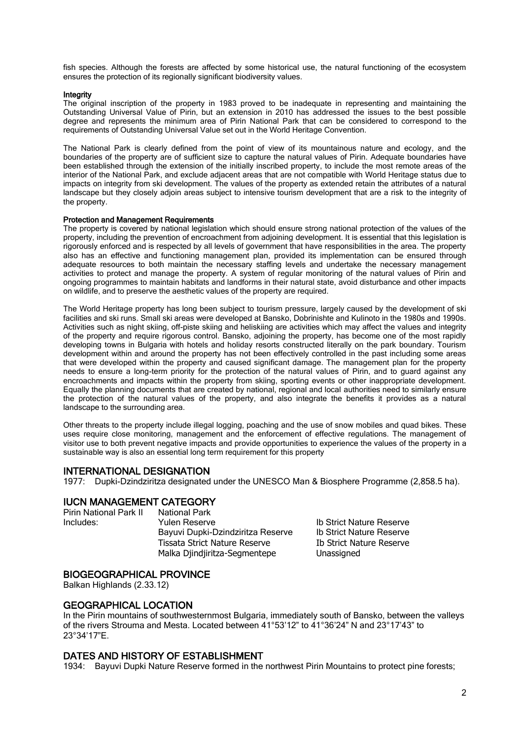fish species. Although the forests are affected by some historical use, the natural functioning of the ecosystem ensures the protection of its regionally significant biodiversity values.

#### **Integrity**

The original inscription of the property in 1983 proved to be inadequate in representing and maintaining the Outstanding Universal Value of Pirin, but an extension in 2010 has addressed the issues to the best possible degree and represents the minimum area of Pirin National Park that can be considered to correspond to the requirements of Outstanding Universal Value set out in the World Heritage Convention.

The National Park is clearly defined from the point of view of its mountainous nature and ecology, and the boundaries of the property are of sufficient size to capture the natural values of Pirin. Adequate boundaries have been established through the extension of the initially inscribed property, to include the most remote areas of the interior of the National Park, and exclude adjacent areas that are not compatible with World Heritage status due to impacts on integrity from ski development. The values of the property as extended retain the attributes of a natural landscape but they closely adjoin areas subject to intensive tourism development that are a risk to the integrity of the property.

#### Protection and Management Requirements

The property is covered by national legislation which should ensure strong national protection of the values of the property, including the prevention of encroachment from adjoining development. It is essential that this legislation is rigorously enforced and is respected by all levels of government that have responsibilities in the area. The property also has an effective and functioning management plan, provided its implementation can be ensured through adequate resources to both maintain the necessary staffing levels and undertake the necessary management activities to protect and manage the property. A system of regular monitoring of the natural values of Pirin and ongoing programmes to maintain habitats and landforms in their natural state, avoid disturbance and other impacts on wildlife, and to preserve the aesthetic values of the property are required.

The World Heritage property has long been subject to tourism pressure, largely caused by the development of ski facilities and ski runs. Small ski areas were developed at Bansko, Dobrinishte and Kulinoto in the 1980s and 1990s. Activities such as night skiing, off-piste skiing and heliskiing are activities which may affect the values and integrity of the property and require rigorous control. Bansko, adjoining the property, has become one of the most rapidly developing towns in Bulgaria with hotels and holiday resorts constructed literally on the park boundary. Tourism development within and around the property has not been effectively controlled in the past including some areas that were developed within the property and caused significant damage. The management plan for the property needs to ensure a long-term priority for the protection of the natural values of Pirin, and to guard against any encroachments and impacts within the property from skiing, sporting events or other inappropriate development. Equally the planning documents that are created by national, regional and local authorities need to similarly ensure the protection of the natural values of the property, and also integrate the benefits it provides as a natural landscape to the surrounding area.

Other threats to the property include illegal logging, poaching and the use of snow mobiles and quad bikes. These uses require close monitoring, management and the enforcement of effective regulations. The management of visitor use to both prevent negative impacts and provide opportunities to experience the values of the property in a sustainable way is also an essential long term requirement for this property

#### INTERNATIONAL DESIGNATION

1977: Dupki-Dzindziritza designated under the UNESCO Man & Biosphere Programme (2,858.5 ha).

#### IUCN MANAGEMENT CATEGORY

Pirin National Park II National Park

**Includes:** The Yulen Reserve **Ib Strict Nature Reserve** Bayuvi Dupki-Dzindziritza Reserve | Ib Strict Nature Reserve Tissata Strict Nature Reserve Ib Strict Nature Reserve Malka Djindjiritza-Segmentepe Unassigned

#### BIOGEOGRAPHICAL PROVINCE

Balkan Highlands (2.33.12)

#### GEOGRAPHICAL LOCATION

In the Pirin mountains of southwesternmost Bulgaria, immediately south of Bansko, between the valleys of the rivers Strouma and Mesta. Located between 41°53'12" to 41°36'24" N and 23°17'43" to 23°34'17"E.

#### DATES AND HISTORY OF ESTABLISHMENT

1934: Bayuvi Dupki Nature Reserve formed in the northwest Pirin Mountains to protect pine forests;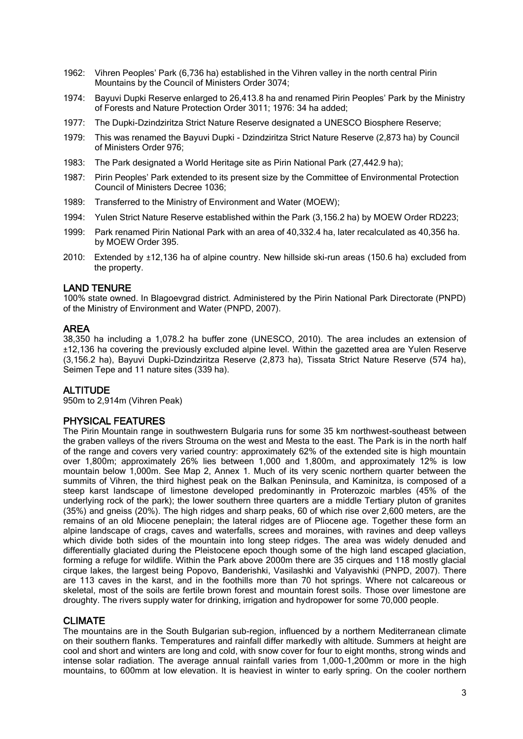- 1962: Vihren Peoples' Park (6,736 ha) established in the Vihren valley in the north central Pirin Mountains by the Council of Ministers Order 3074;
- 1974: Bayuvi Dupki Reserve enlarged to 26,413.8 ha and renamed Pirin Peoples' Park by the Ministry of Forests and Nature Protection Order 3011; 1976: 34 ha added;
- 1977: The Dupki-Dzindziritza Strict Nature Reserve designated a UNESCO Biosphere Reserve;
- 1979: This was renamed the Bayuvi Dupki Dzindziritza Strict Nature Reserve (2,873 ha) by Council of Ministers Order 976;
- 1983: The Park designated a World Heritage site as Pirin National Park (27,442.9 ha);
- 1987: Pirin Peoples' Park extended to its present size by the Committee of Environmental Protection Council of Ministers Decree 1036;
- 1989: Transferred to the Ministry of Environment and Water (MOEW);
- 1994: Yulen Strict Nature Reserve established within the Park (3,156.2 ha) by MOEW Order RD223;
- 1999: Park renamed Pirin National Park with an area of 40,332.4 ha, later recalculated as 40,356 ha. by MOEW Order 395.
- 2010: Extended by ±12,136 ha of alpine country. New hillside ski-run areas (150.6 ha) excluded from the property.

### LAND TENURE

100% state owned. In Blagoevgrad district. Administered by the Pirin National Park Directorate (PNPD) of the Ministry of Environment and Water (PNPD, 2007).

### AREA

38,350 ha including a 1,078.2 ha buffer zone (UNESCO, 2010). The area includes an extension of ±12,136 ha covering the previously excluded alpine level. Within the gazetted area are Yulen Reserve (3,156.2 ha), Bayuvi Dupki-Dzindziritza Reserve (2,873 ha), Tissata Strict Nature Reserve (574 ha), Seimen Tepe and 11 nature sites (339 ha).

### **ALTITUDE**

950m to 2,914m (Vihren Peak)

### PHYSICAL FEATURES

The Pirin Mountain range in southwestern Bulgaria runs for some 35 km northwest-southeast between the graben valleys of the rivers Strouma on the west and Mesta to the east. The Park is in the north half of the range and covers very varied country: approximately 62% of the extended site is high mountain over 1,800m; approximately 26% lies between 1,000 and 1,800m, and approximately 12% is low mountain below 1,000m. See Map 2, Annex 1. Much of its very scenic northern quarter between the summits of Vihren, the third highest peak on the Balkan Peninsula, and Kaminitza, is composed of a steep karst landscape of limestone developed predominantly in Proterozoic marbles (45% of the underlying rock of the park); the lower southern three quarters are a middle Tertiary pluton of granites (35%) and gneiss (20%). The high ridges and sharp peaks, 60 of which rise over 2,600 meters, are the remains of an old Miocene peneplain; the lateral ridges are of Pliocene age. Together these form an alpine landscape of crags, caves and waterfalls, screes and moraines, with ravines and deep valleys which divide both sides of the mountain into long steep ridges. The area was widely denuded and differentially glaciated during the Pleistocene epoch though some of the high land escaped glaciation, forming a refuge for wildlife. Within the Park above 2000m there are 35 cirques and 118 mostly glacial cirque lakes, the largest being Popovo, Banderishki, Vasilashki and Valyavishki (PNPD, 2007). There are 113 caves in the karst, and in the foothills more than 70 hot springs. Where not calcareous or skeletal, most of the soils are fertile brown forest and mountain forest soils. Those over limestone are droughty. The rivers supply water for drinking, irrigation and hydropower for some 70,000 people.

### CLIMATE

The mountains are in the South Bulgarian sub-region, influenced by a northern Mediterranean climate on their southern flanks. Temperatures and rainfall differ markedly with altitude. Summers at height are cool and short and winters are long and cold, with snow cover for four to eight months, strong winds and intense solar radiation. The average annual rainfall varies from 1,000-1,200mm or more in the high mountains, to 600mm at low elevation. It is heaviest in winter to early spring. On the cooler northern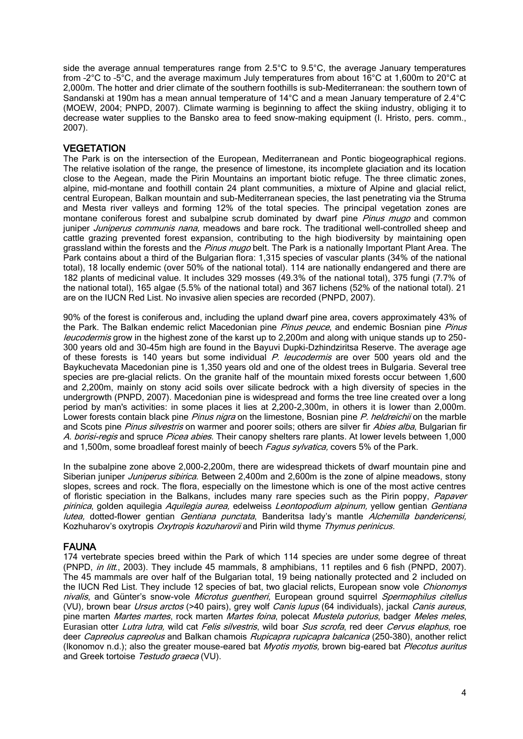side the average annual temperatures range from  $2.5^{\circ}$ C to  $9.5^{\circ}$ C, the average January temperatures from –2°C to –5°C, and the average maximum July temperatures from about 16°C at 1,600m to 20°C at 2,000m. The hotter and drier climate of the southern foothills is sub-Mediterranean: the southern town of Sandanski at 190m has a mean annual temperature of 14°C and a mean January temperature of 2.4°C (MOEW, 2004; PNPD, 2007). Climate warming is beginning to affect the skiing industry, obliging it to decrease water supplies to the Bansko area to feed snow-making equipment (I. Hristo, pers. comm., 2007).

### **VEGETATION**

The Park is on the intersection of the European, Mediterranean and Pontic biogeographical regions. The relative isolation of the range, the presence of limestone, its incomplete glaciation and its location close to the Aegean, made the Pirin Mountains an important biotic refuge. The three climatic zones, alpine, mid-montane and foothill contain 24 plant communities, a mixture of Alpine and glacial relict, central European, Balkan mountain and sub-Mediterranean species, the last penetrating via the Struma and Mesta river valleys and forming 12% of the total species. The principal vegetation zones are montane coniferous forest and subalpine scrub dominated by dwarf pine Pinus mugo and common juniper *Juniperus communis nana*, meadows and bare rock. The traditional well-controlled sheep and cattle grazing prevented forest expansion, contributing to the high biodiversity by maintaining open grassland within the forests and the *Pinus mugo* belt. The Park is a nationally Important Plant Area. The Park contains about a third of the Bulgarian flora: 1,315 species of vascular plants (34% of the national total), 18 locally endemic (over 50% of the national total). 114 are nationally endangered and there are 182 plants of medicinal value. It includes 329 mosses (49.3% of the national total), 375 fungi (7.7% of the national total), 165 algae (5.5% of the national total) and 367 lichens (52% of the national total). 21 are on the IUCN Red List. No invasive alien species are recorded (PNPD, 2007).

90% of the forest is coniferous and, including the upland dwarf pine area, covers approximately 43% of the Park. The Balkan endemic relict Macedonian pine *Pinus peuce*, and endemic Bosnian pine *Pinus* leucodermis grow in the highest zone of the karst up to 2,200m and along with unique stands up to 250-300 years old and 30-45m high are found in the Bayuvi Dupki-Dzhindziritsa Reserve. The average age of these forests is 140 years but some individual P. leucodermis are over 500 years old and the Baykuchevata Macedonian pine is 1,350 years old and one of the oldest trees in Bulgaria. Several tree species are pre-glacial relicts. On the granite half of the mountain mixed forests occur between 1,600 and 2,200m, mainly on stony acid soils over silicate bedrock with a high diversity of species in the undergrowth (PNPD, 2007). Macedonian pine is widespread and forms the tree line created over a long period by man's activities: in some places it lies at 2,200-2,300m, in others it is lower than 2,000m. Lower forests contain black pine *Pinus nigra* on the limestone, Bosnian pine *P. heldreichii* on the marble and Scots pine Pinus silvestris on warmer and poorer soils; others are silver fir Abies alba, Bulgarian fir A. borisi-regis and spruce Picea abies. Their canopy shelters rare plants. At lower levels between 1,000 and 1,500m, some broadleaf forest mainly of beech Fagus sylvatica, covers 5% of the Park.

In the subalpine zone above 2,000-2,200m, there are widespread thickets of dwarf mountain pine and Siberian juniper *Juniperus sibirica*. Between 2,400m and 2,600m is the zone of alpine meadows, stony slopes, screes and rock. The flora, especially on the limestone which is one of the most active centres of floristic speciation in the Balkans, includes many rare species such as the Pirin poppy, Papaver pirinica, golden aquilegia Aquilegia aurea, edelweiss Leontopodium alpinum, yellow gentian Gentiana lutea, dotted-flower gentian Gentiana punctata, Banderitsa lady's mantle Alchemilla bandericensi, Kozhuharov's oxytropis Oxytropis kozuharovii and Pirin wild thyme Thymus perinicus.

## FAUNA

174 vertebrate species breed within the Park of which 114 species are under some degree of threat (PNPD, in litt., 2003). They include 45 mammals, 8 amphibians, 11 reptiles and 6 fish (PNPD, 2007). The 45 mammals are over half of the Bulgarian total, 19 being nationally protected and 2 included on the IUCN Red List. They include 12 species of bat, two glacial relicts, European snow vole Chionomys nivalis, and Günter's snow-vole Microtus guentheri, European ground squirrel Spermophilus citellus (VU), brown bear Ursus arctos (>40 pairs), grey wolf Canis lupus (64 individuals), jackal Canis aureus, pine marten Martes martes, rock marten Martes foina, polecat Mustela putorius, badger Meles meles, Eurasian otter Lutra lutra, wild cat Felis silvestris, wild boar Sus scrofa, red deer Cervus elaphus, roe deer Capreolus capreolus and Balkan chamois Rupicapra rupicapra balcanica (250-380), another relict (Ikonomov n.d.); also the greater mouse-eared bat *Myotis myotis*, brown big-eared bat *Plecotus auritus* and Greek tortoise Testudo graeca (VU).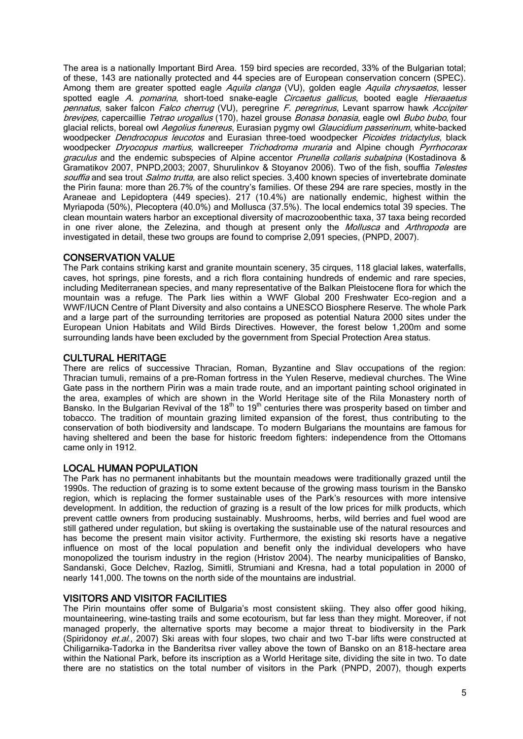The area is a nationally Important Bird Area. 159 bird species are recorded, 33% of the Bulgarian total; of these, 143 are nationally protected and 44 species are of European conservation concern (SPEC). Among them are greater spotted eagle Aquila clanga (VU), golden eagle Aquila chrysaetos, lesser spotted eagle A. pomarina, short-toed snake-eagle Circaetus gallicus, booted eagle Hieraaetus pennatus, saker falcon Falco cherrug (VU), peregrine F. peregrinus, Levant sparrow hawk Accipiter brevipes, capercaillie Tetrao urogallus (170), hazel grouse Bonasa bonasia, eagle owl Bubo bubo, four glacial relicts, boreal owl Aegolius funereus, Eurasian pygmy owl Glaucidium passerinum, white-backed woodpecker *Dendrocopus leucotos* and Eurasian three-toed woodpecker *Picoides tridactylus*, black woodpecker Dryocopus martius, wallcreeper Trichodroma muraria and Alpine chough Pyrrhocorax graculus and the endemic subspecies of Alpine accentor *Prunella collaris subalpina* (Kostadinova & Gramatikov 2007, PNPD, 2003; 2007, Shurulinkov & Stoyanov 2006). Two of the fish, souffia Telestes souffia and sea trout *Salmo trutta*, are also relict species, 3,400 known species of invertebrate dominate the Pirin fauna: more than 26.7% of the country's families. Of these 294 are rare species, mostly in the Araneae and Lepidoptera (449 species). 217 (10.4%) are nationally endemic, highest within the Myriapoda (50%), Plecoptera (40.0%) and Mollusca (37.5%). The local endemics total 39 species. The clean mountain waters harbor an exceptional diversity of macrozoobenthic taxa, 37 taxa being recorded in one river alone, the Zelezina, and though at present only the Mollusca and Arthropoda are investigated in detail, these two groups are found to comprise 2,091 species, (PNPD, 2007).

### CONSERVATION VALUE

The Park contains striking karst and granite mountain scenery, 35 cirques, 118 glacial lakes, waterfalls, caves, hot springs, pine forests, and a rich flora containing hundreds of endemic and rare species, including Mediterranean species, and many representative of the Balkan Pleistocene flora for which the mountain was a refuge. The Park lies within a WWF Global 200 Freshwater Eco-region and a WWF/IUCN Centre of Plant Diversity and also contains a UNESCO Biosphere Reserve. The whole Park and a large part of the surrounding territories are proposed as potential Natura 2000 sites under the European Union Habitats and Wild Birds Directives. However, the forest below 1,200m and some surrounding lands have been excluded by the government from Special Protection Area status.

#### CULTURAL HERITAGE

There are relics of successive Thracian, Roman, Byzantine and Slav occupations of the region: Thracian tumuli, remains of a pre-Roman fortress in the Yulen Reserve, medieval churches. The Wine Gate pass in the northern Pirin was a main trade route, and an important painting school originated in the area, examples of which are shown in the World Heritage site of the Rila Monastery north of Bansko. In the Bulgarian Revival of the 18<sup>th</sup> to 19<sup>th</sup> centuries there was prosperity based on timber and tobacco. The tradition of mountain grazing limited expansion of the forest, thus contributing to the conservation of both biodiversity and landscape. To modern Bulgarians the mountains are famous for having sheltered and been the base for historic freedom fighters: independence from the Ottomans came only in 1912.

### LOCAL HUMAN POPULATION

The Park has no permanent inhabitants but the mountain meadows were traditionally grazed until the 1990s. The reduction of grazing is to some extent because of the growing mass tourism in the Bansko region, which is replacing the former sustainable uses of the Park's resources with more intensive development. In addition, the reduction of grazing is a result of the low prices for milk products, which prevent cattle owners from producing sustainably. Mushrooms, herbs, wild berries and fuel wood are still gathered under regulation, but skiing is overtaking the sustainable use of the natural resources and has become the present main visitor activity. Furthermore, the existing ski resorts have a negative influence on most of the local population and benefit only the individual developers who have monopolized the tourism industry in the region (Hristov 2004). The nearby municipalities of Bansko, Sandanski, Goce Delchev, Razlog, Simitli, Strumiani and Kresna, had a total population in 2000 of nearly 141,000. The towns on the north side of the mountains are industrial.

### VISITORS AND VISITOR FACILITIES

The Pirin mountains offer some of Bulgaria's most consistent skiing. They also offer good hiking, mountaineering, wine-tasting trails and some ecotourism, but far less than they might. Moreover, if not managed properly, the alternative sports may become a major threat to biodiversity in the Park (Spiridonoy et.al., 2007) Ski areas with four slopes, two chair and two T-bar lifts were constructed at Chiligarnika-Tadorka in the Banderitsa river valley above the town of Bansko on an 818-hectare area within the National Park, before its inscription as a World Heritage site, dividing the site in two. To date there are no statistics on the total number of visitors in the Park (PNPD, 2007), though experts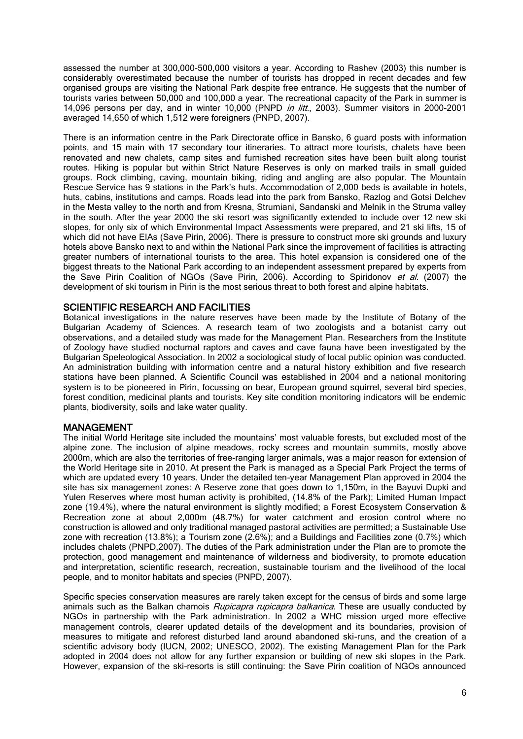assessed the number at 300,000-500,000 visitors a year. According to Rashev (2003) this number is considerably overestimated because the number of tourists has dropped in recent decades and few organised groups are visiting the National Park despite free entrance. He suggests that the number of tourists varies between 50,000 and 100,000 a year. The recreational capacity of the Park in summer is 14,096 persons per day, and in winter 10,000 (PNPD in litt., 2003). Summer visitors in 2000-2001 averaged 14,650 of which 1,512 were foreigners (PNPD, 2007).

There is an information centre in the Park Directorate office in Bansko, 6 guard posts with information points, and 15 main with 17 secondary tour itineraries. To attract more tourists, chalets have been renovated and new chalets, camp sites and furnished recreation sites have been built along tourist routes. Hiking is popular but within Strict Nature Reserves is only on marked trails in small guided groups. Rock climbing, caving, mountain biking, riding and angling are also popular. The Mountain Rescue Service has 9 stations in the Park's huts. Accommodation of 2,000 beds is available in hotels, huts, cabins, institutions and camps. Roads lead into the park from Bansko, Razlog and Gotsi Delchev in the Mesta valley to the north and from Kresna, Strumiani, Sandanski and Melnik in the Struma valley in the south. After the year 2000 the ski resort was significantly extended to include over 12 new ski slopes, for only six of which Environmental Impact Assessments were prepared, and 21 ski lifts, 15 of which did not have EIAs (Save Pirin, 2006). There is pressure to construct more ski grounds and luxury hotels above Bansko next to and within the National Park since the improvement of facilities is attracting greater numbers of international tourists to the area. This hotel expansion is considered one of the biggest threats to the National Park according to an independent assessment prepared by experts from the Save Pirin Coalition of NGOs (Save Pirin, 2006). According to Spiridonov et al. (2007) the development of ski tourism in Pirin is the most serious threat to both forest and alpine habitats.

#### SCIENTIFIC RESEARCH AND FACILITIES

Botanical investigations in the nature reserves have been made by the Institute of Botany of the Bulgarian Academy of Sciences. A research team of two zoologists and a botanist carry out observations, and a detailed study was made for the Management Plan. Researchers from the Institute of Zoology have studied nocturnal raptors and caves and cave fauna have been investigated by the Bulgarian Speleological Association. In 2002 a sociological study of local public opinion was conducted. An administration building with information centre and a natural history exhibition and five research stations have been planned. A Scientific Council was established in 2004 and a national monitoring system is to be pioneered in Pirin, focussing on bear, European ground squirrel, several bird species, forest condition, medicinal plants and tourists. Key site condition monitoring indicators will be endemic plants, biodiversity, soils and lake water quality.

### MANAGEMENT

The initial World Heritage site included the mountains' most valuable forests, but excluded most of the alpine zone. The inclusion of alpine meadows, rocky screes and mountain summits, mostly above 2000m, which are also the territories of free-ranging larger animals, was a major reason for extension of the World Heritage site in 2010. At present the Park is managed as a Special Park Project the terms of which are updated every 10 years. Under the detailed ten-year Management Plan approved in 2004 the site has six management zones: A Reserve zone that goes down to 1,150m, in the Bayuvi Dupki and Yulen Reserves where most human activity is prohibited, (14.8% of the Park); Limited Human Impact zone (19.4%), where the natural environment is slightly modified; a Forest Ecosystem Conservation & Recreation zone at about 2,000m (48.7%) for water catchment and erosion control where no construction is allowed and only traditional managed pastoral activities are permitted; a Sustainable Use zone with recreation (13.8%); a Tourism zone (2.6%); and a Buildings and Facilities zone (0.7%) which includes chalets (PNPD,2007). The duties of the Park administration under the Plan are to promote the protection, good management and maintenance of wilderness and biodiversity, to promote education and interpretation, scientific research, recreation, sustainable tourism and the livelihood of the local people, and to monitor habitats and species (PNPD, 2007).

Specific species conservation measures are rarely taken except for the census of birds and some large animals such as the Balkan chamois Rupicapra rupicapra balkanica. These are usually conducted by NGOs in partnership with the Park administration. In 2002 a WHC mission urged more effective management controls, clearer updated details of the development and its boundaries, provision of measures to mitigate and reforest disturbed land around abandoned ski-runs, and the creation of a scientific advisory body (IUCN, 2002; UNESCO, 2002). The existing Management Plan for the Park adopted in 2004 does not allow for any further expansion or building of new ski slopes in the Park. However, expansion of the ski-resorts is still continuing: the Save Pirin coalition of NGOs announced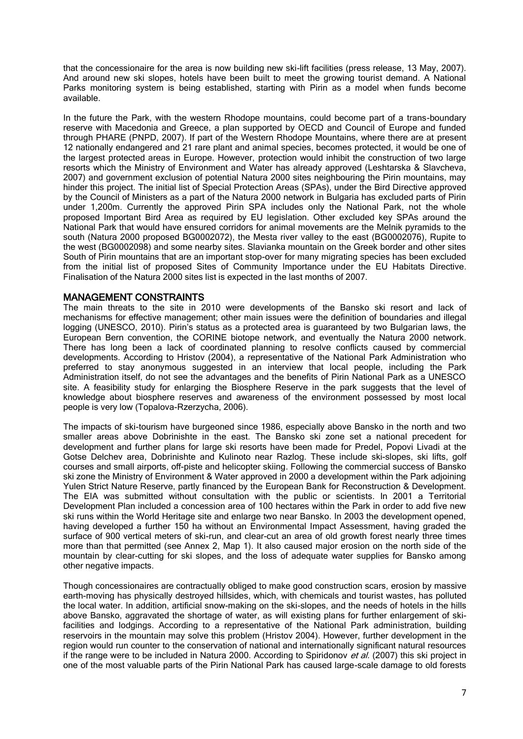that the concessionaire for the area is now building new ski-lift facilities (press release, 13 May, 2007). And around new ski slopes, hotels have been built to meet the growing tourist demand. A National Parks monitoring system is being established, starting with Pirin as a model when funds become available.

In the future the Park, with the western Rhodope mountains, could become part of a trans-boundary reserve with Macedonia and Greece, a plan supported by OECD and Council of Europe and funded through PHARE (PNPD, 2007). If part of the Western Rhodope Mountains, where there are at present 12 nationally endangered and 21 rare plant and animal species, becomes protected, it would be one of the largest protected areas in Europe. However, protection would inhibit the construction of two large resorts which the Ministry of Environment and Water has already approved (Leshtarska & Slavcheva, 2007) and government exclusion of potential Natura 2000 sites neighbouring the Pirin mountains, may hinder this project. The initial list of Special Protection Areas (SPAs), under the Bird Directive approved by the Council of Ministers as a part of the Natura 2000 network in Bulgaria has excluded parts of Pirin under 1,200m. Currently the approved Pirin SPA includes only the National Park, not the whole proposed Important Bird Area as required by EU legislation. Other excluded key SPAs around the National Park that would have ensured corridors for animal movements are the Melnik pyramids to the south (Natura 2000 proposed BG0002072), the Mesta river valley to the east (BG0002076), Rupite to the west (BG0002098) and some nearby sites. Slavianka mountain on the Greek border and other sites South of Pirin mountains that are an important stop-over for many migrating species has been excluded from the initial list of proposed Sites of Community Importance under the EU Habitats Directive. Finalisation of the Natura 2000 sites list is expected in the last months of 2007.

#### MANAGEMENT CONSTRAINTS

The main threats to the site in 2010 were developments of the Bansko ski resort and lack of mechanisms for effective management; other main issues were the definition of boundaries and illegal logging (UNESCO, 2010). Pirin's status as a protected area is guaranteed by two Bulgarian laws, the European Bern convention, the CORINE biotope network, and eventually the Natura 2000 network. There has long been a lack of coordinated planning to resolve conflicts caused by commercial developments. According to Hristov (2004), a representative of the National Park Administration who preferred to stay anonymous suggested in an interview that local people, including the Park Administration itself, do not see the advantages and the benefits of Pirin National Park as a UNESCO site. A feasibility study for enlarging the Biosphere Reserve in the park suggests that the level of knowledge about biosphere reserves and awareness of the environment possessed by most local people is very low (Topalova-Rzerzycha, 2006).

The impacts of ski-tourism have burgeoned since 1986, especially above Bansko in the north and two smaller areas above Dobrinishte in the east. The Bansko ski zone set a national precedent for development and further plans for large ski resorts have been made for Predel, Popovi Livadi at the Gotse Delchev area, Dobrinishte and Kulinoto near Razlog. These include ski-slopes, ski lifts, golf courses and small airports, off-piste and helicopter skiing. Following the commercial success of Bansko ski zone the Ministry of Environment & Water approved in 2000 a development within the Park adjoining Yulen Strict Nature Reserve, partly financed by the European Bank for Reconstruction & Development. The EIA was submitted without consultation with the public or scientists. In 2001 a Territorial Development Plan included a concession area of 100 hectares within the Park in order to add five new ski runs within the World Heritage site and enlarge two near Bansko. In 2003 the development opened, having developed a further 150 ha without an Environmental Impact Assessment, having graded the surface of 900 vertical meters of ski-run, and clear-cut an area of old growth forest nearly three times more than that permitted (see Annex 2, Map 1). It also caused major erosion on the north side of the mountain by clear-cutting for ski slopes, and the loss of adequate water supplies for Bansko among other negative impacts.

Though concessionaires are contractually obliged to make good construction scars, erosion by massive earth-moving has physically destroyed hillsides, which, with chemicals and tourist wastes, has polluted the local water. In addition, artificial snow-making on the ski-slopes, and the needs of hotels in the hills above Bansko, aggravated the shortage of water, as will existing plans for further enlargement of skifacilities and lodgings. According to a representative of the National Park administration, building reservoirs in the mountain may solve this problem (Hristov 2004). However, further development in the region would run counter to the conservation of national and internationally significant natural resources if the range were to be included in Natura 2000. According to Spiridonov et al. (2007) this ski project in one of the most valuable parts of the Pirin National Park has caused large-scale damage to old forests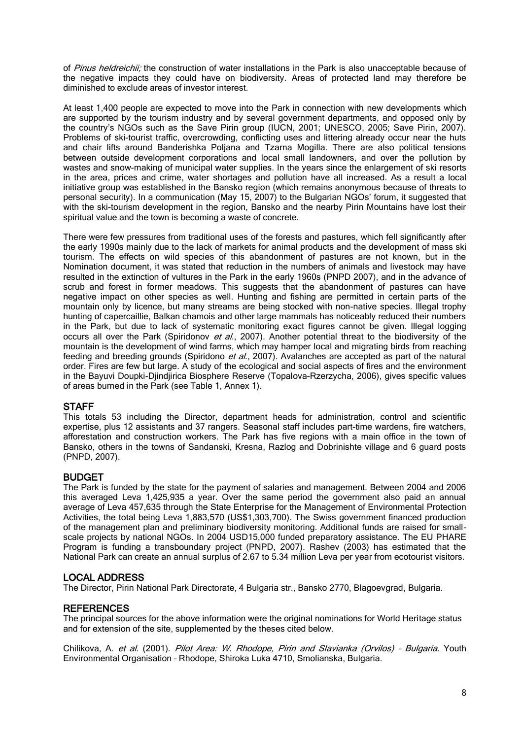of Pinus heldreichii; the construction of water installations in the Park is also unacceptable because of the negative impacts they could have on biodiversity. Areas of protected land may therefore be diminished to exclude areas of investor interest.

At least 1,400 people are expected to move into the Park in connection with new developments which are supported by the tourism industry and by several government departments, and opposed only by the country's NGOs such as the Save Pirin group (IUCN, 2001; UNESCO, 2005; Save Pirin, 2007). Problems of ski-tourist traffic, overcrowding, conflicting uses and littering already occur near the huts and chair lifts around Banderishka Poljana and Tzarna Mogilla. There are also political tensions between outside development corporations and local small landowners, and over the pollution by wastes and snow-making of municipal water supplies. In the years since the enlargement of ski resorts in the area, prices and crime, water shortages and pollution have all increased. As a result a local initiative group was established in the Bansko region (which remains anonymous because of threats to personal security). In a communication (May 15, 2007) to the Bulgarian NGOs' forum, it suggested that with the ski-tourism development in the region, Bansko and the nearby Pirin Mountains have lost their spiritual value and the town is becoming a waste of concrete.

There were few pressures from traditional uses of the forests and pastures, which fell significantly after the early 1990s mainly due to the lack of markets for animal products and the development of mass ski tourism. The effects on wild species of this abandonment of pastures are not known, but in the Nomination document, it was stated that reduction in the numbers of animals and livestock may have resulted in the extinction of vultures in the Park in the early 1960s (PNPD 2007), and in the advance of scrub and forest in former meadows. This suggests that the abandonment of pastures can have negative impact on other species as well. Hunting and fishing are permitted in certain parts of the mountain only by licence, but many streams are being stocked with non-native species. Illegal trophy hunting of capercaillie, Balkan chamois and other large mammals has noticeably reduced their numbers in the Park, but due to lack of systematic monitoring exact figures cannot be given. Illegal logging occurs all over the Park (Spiridonov et al., 2007). Another potential threat to the biodiversity of the mountain is the development of wind farms, which may hamper local and migrating birds from reaching feeding and breeding grounds (Spiridono et al., 2007). Avalanches are accepted as part of the natural order. Fires are few but large. A study of the ecological and social aspects of fires and the environment in the Bayuvi Doupki-Djindjirica Biosphere Reserve (Topalova-Rzerzycha, 2006), gives specific values of areas burned in the Park (see Table 1, Annex 1).

### **STAFF**

This totals 53 including the Director, department heads for administration, control and scientific expertise, plus 12 assistants and 37 rangers. Seasonal staff includes part-time wardens, fire watchers, afforestation and construction workers. The Park has five regions with a main office in the town of Bansko, others in the towns of Sandanski, Kresna, Razlog and Dobrinishte village and 6 guard posts (PNPD, 2007).

#### BUDGET

The Park is funded by the state for the payment of salaries and management. Between 2004 and 2006 this averaged Leva 1,425,935 a year. Over the same period the government also paid an annual average of Leva 457,635 through the State Enterprise for the Management of Environmental Protection Activities, the total being Leva 1,883,570 (US\$1,303,700). The Swiss government financed production of the management plan and preliminary biodiversity monitoring. Additional funds are raised for smallscale projects by national NGOs. In 2004 USD15,000 funded preparatory assistance. The EU PHARE Program is funding a transboundary project (PNPD, 2007). Rashev (2003) has estimated that the National Park can create an annual surplus of 2.67 to 5.34 million Leva per year from ecotourist visitors.

### LOCAL ADDRESS

The Director, Pirin National Park Directorate, 4 Bulgaria str., Bansko 2770, Blagoevgrad, Bulgaria.

#### **REFERENCES**

The principal sources for the above information were the original nominations for World Heritage status and for extension of the site, supplemented by the theses cited below.

Chilikova, A. et al. (2001). Pilot Area: W. Rhodope, Pirin and Slavianka (Orvilos) - Bulgaria. Youth Environmental Organisation – Rhodope, Shiroka Luka 4710, Smolianska, Bulgaria.